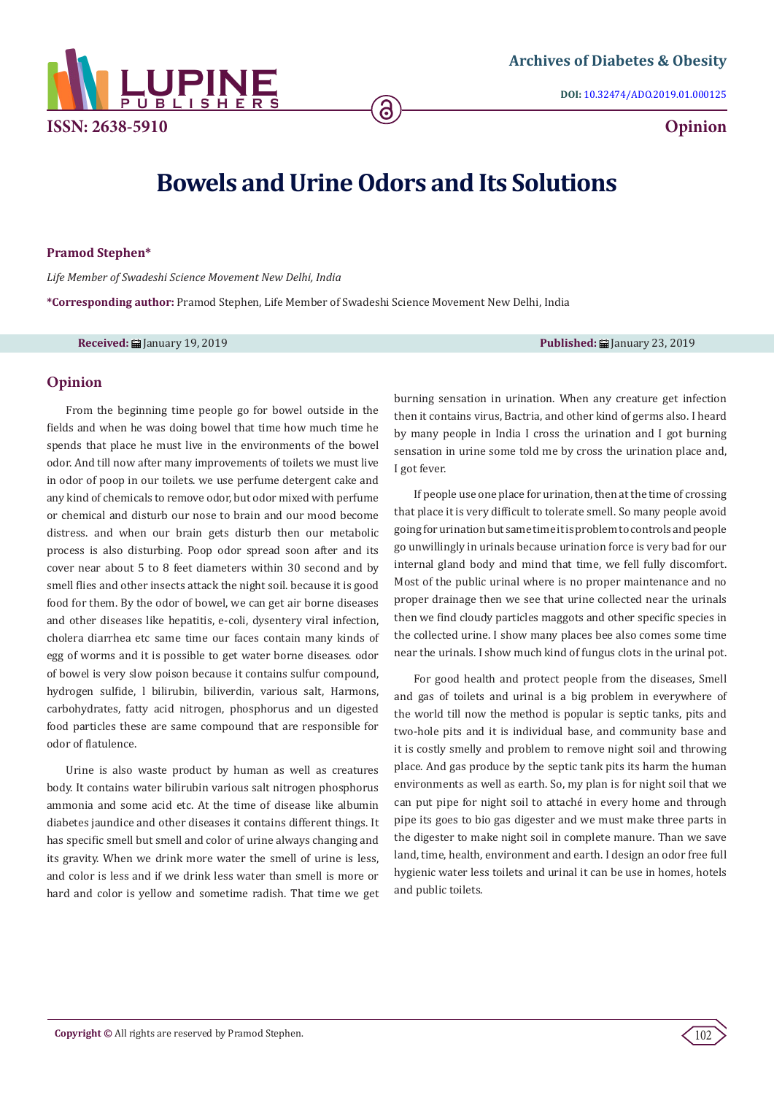

**DOI:** [10.32474/ADO.2019.01.000125](http://dx.doi.org/10.32474/ADO.2019.01.000125)

# **Bowels and Urine Odors and Its Solutions**

ခြ

# **Pramod Stephen\***

*Life Member of Swadeshi Science Movement New Delhi, India*

**\*Corresponding author:** Pramod Stephen, Life Member of Swadeshi Science Movement New Delhi, India

**Received:** January 19, 2019 **Published:** January 23, 2019

### **Opinion**

From the beginning time people go for bowel outside in the fields and when he was doing bowel that time how much time he spends that place he must live in the environments of the bowel odor. And till now after many improvements of toilets we must live in odor of poop in our toilets. we use perfume detergent cake and any kind of chemicals to remove odor, but odor mixed with perfume or chemical and disturb our nose to brain and our mood become distress. and when our brain gets disturb then our metabolic process is also disturbing. Poop odor spread soon after and its cover near about 5 to 8 feet diameters within 30 second and by smell flies and other insects attack the night soil. because it is good food for them. By the odor of bowel, we can get air borne diseases and other diseases like hepatitis, e-coli, dysentery viral infection, cholera diarrhea etc same time our faces contain many kinds of egg of worms and it is possible to get water borne diseases. odor of bowel is very slow poison because it contains sulfur compound, hydrogen sulfide, l bilirubin, biliverdin, various salt, Harmons, carbohydrates, fatty acid nitrogen, phosphorus and un digested food particles these are same compound that are responsible for odor of flatulence.

Urine is also waste product by human as well as creatures body. It contains water bilirubin various salt nitrogen phosphorus ammonia and some acid etc. At the time of disease like albumin diabetes jaundice and other diseases it contains different things. It has specific smell but smell and color of urine always changing and its gravity. When we drink more water the smell of urine is less, and color is less and if we drink less water than smell is more or hard and color is yellow and sometime radish. That time we get

burning sensation in urination. When any creature get infection then it contains virus, Bactria, and other kind of germs also. I heard by many people in India I cross the urination and I got burning sensation in urine some told me by cross the urination place and, I got fever.

If people use one place for urination, then at the time of crossing that place it is very difficult to tolerate smell. So many people avoid going for urination but same time it is problem to controls and people go unwillingly in urinals because urination force is very bad for our internal gland body and mind that time, we fell fully discomfort. Most of the public urinal where is no proper maintenance and no proper drainage then we see that urine collected near the urinals then we find cloudy particles maggots and other specific species in the collected urine. I show many places bee also comes some time near the urinals. I show much kind of fungus clots in the urinal pot.

For good health and protect people from the diseases, Smell and gas of toilets and urinal is a big problem in everywhere of the world till now the method is popular is septic tanks, pits and two-hole pits and it is individual base, and community base and it is costly smelly and problem to remove night soil and throwing place. And gas produce by the septic tank pits its harm the human environments as well as earth. So, my plan is for night soil that we can put pipe for night soil to attaché in every home and through pipe its goes to bio gas digester and we must make three parts in the digester to make night soil in complete manure. Than we save land, time, health, environment and earth. I design an odor free full hygienic water less toilets and urinal it can be use in homes, hotels and public toilets.